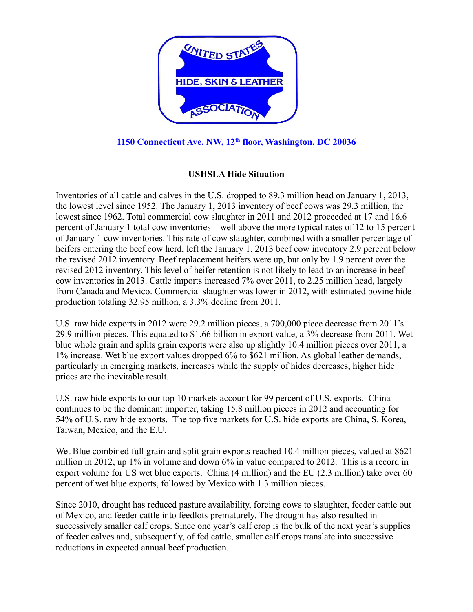

## **1150 Connecticut Ave. NW, 12th floor, Washington, DC 20036**

## **USHSLA Hide Situation**

Inventories of all cattle and calves in the U.S. dropped to 89.3 million head on January 1, 2013, the lowest level since 1952. The January 1, 2013 inventory of beef cows was 29.3 million, the lowest since 1962. Total commercial cow slaughter in 2011 and 2012 proceeded at 17 and 16.6 percent of January 1 total cow inventories—well above the more typical rates of 12 to 15 percent of January 1 cow inventories. This rate of cow slaughter, combined with a smaller percentage of heifers entering the beef cow herd, left the January 1, 2013 beef cow inventory 2.9 percent below the revised 2012 inventory. Beef replacement heifers were up, but only by 1.9 percent over the revised 2012 inventory. This level of heifer retention is not likely to lead to an increase in beef cow inventories in 2013. Cattle imports increased 7% over 2011, to 2.25 million head, largely from Canada and Mexico. Commercial slaughter was lower in 2012, with estimated bovine hide production totaling 32.95 million, a 3.3% decline from 2011.

U.S. raw hide exports in 2012 were 29.2 million pieces, a 700,000 piece decrease from 2011's 29.9 million pieces. This equated to \$1.66 billion in export value, a 3% decrease from 2011. Wet blue whole grain and splits grain exports were also up slightly 10.4 million pieces over 2011, a 1% increase. Wet blue export values dropped 6% to \$621 million. As global leather demands, particularly in emerging markets, increases while the supply of hides decreases, higher hide prices are the inevitable result.

U.S. raw hide exports to our top 10 markets account for 99 percent of U.S. exports. China continues to be the dominant importer, taking 15.8 million pieces in 2012 and accounting for 54% of U.S. raw hide exports. The top five markets for U.S. hide exports are China, S. Korea, Taiwan, Mexico, and the E.U.

Wet Blue combined full grain and split grain exports reached 10.4 million pieces, valued at \$621 million in 2012, up 1% in volume and down 6% in value compared to 2012. This is a record in export volume for US wet blue exports. China (4 million) and the EU (2.3 million) take over 60 percent of wet blue exports, followed by Mexico with 1.3 million pieces.

Since 2010, drought has reduced pasture availability, forcing cows to slaughter, feeder cattle out of Mexico, and feeder cattle into feedlots prematurely. The drought has also resulted in successively smaller calf crops. Since one year's calf crop is the bulk of the next year's supplies of feeder calves and, subsequently, of fed cattle, smaller calf crops translate into successive reductions in expected annual beef production.